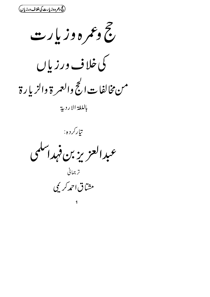(حج دعمره وزیارت کی خلاف درزیاں)

خ وعمر ه وزیار ت

کی خلا ف ورزیاں

من مخالفات الحج والعمرة والزيارة

باللغة الاردية

تارکرده:

عبدالعزيز بن فهداسكمي

تر جمانی

مشاق احمدکری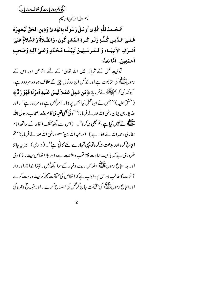(فحج دعمره وزيارت كي خلاف ورزياں) بسم اللدالرحمٰن الرحيم

اَلـحَـمدُ لِلّٰهِ الَّذِى اَرسَلَ رَسُولَهُ بِالهُدىٰ وَدِينِ الحَقِّ لَيُظهرَهُ عَـلـىٰ الـدِّيـنِ كُـلِّـهِ وَلَـو كَـرِهَ المُشرِكُونَ، وَالصَّلاَةُ وَالسَّلاَمُ عَليٰ أشرَفِ الأنبيَساءِ وَالْمُدِسَلِينَ نَبِيِّنَا مُحَمَّدٍ وَعَلَىٰ آلِهِ وَصَحِبِهِ أجمَعِينَ. أَمَّا بَعدُ:

قبولیت عمل کے شرائط میں اللہ تعالی' کے لئے اخلاص اور اس کے رسولﷺ کی متابعت ہے اور جوعمل ان دونوں چز کے خلاف ہو وہ مر دود ہے ، كِيوْنَدِنْهِ كِرِيمَ اللَّهِ فَسَنَّ إِلَيْهِ هُوَ عَمِيلَ عَمَلاً لَمِيسَ عَلَيْهِ أَمْرُنَا فَهُوَ رَدٌّ ﴾ (متفق علیہ )''جس نے ایپاعمل کیا جس پر ہمارا امرنہیں ہے وہ مردود ہے''۔اور حذی<sub>ف</sub>هہ بن پمان رضی اللہ عنہ نے فریایا:''کو**ئی بھی تعبدی کام ج**ہے**اصحاب رسول اللہ** ۔<br>علیقے نے نہیں کیا ہے ،تم بھی نہ کرو' ۔ (اس سے کچھ مختلف الفاظ کے ساتھ امام بخاری رحمہ اللہ نے نکالا ہے ) اورعبد اللہ بن مسعود رضی اللہ عنہ نے فر مایا: ''م امتاع کرواور بدعت نہ کروتو یہی تہارے لئے کافی ہے''۔ ( داری ) نیز پہ جاننا ضر وری ہے کہ بلانیت عبادت فقط نغب ومشقت ہے،اور بلا اخلاص نیت ریا کاری اور بلا انتاع رسول الصَّلاتِينَ اخلاص ريت وغبار كے سوا سچ پہيں۔لہٰذا جواللّٰہ اور دار آخرت کا طالب ہواس پر واجب ہے کہ اخلاص کی حقیقت سمجھ کرنیت درست کرے اورا بتاع رسول اقلیقی کی حقیقت جان کر عمل کی اصلاح کرے ۔اور جبکہ جج وعمر ہ کی

 $\overline{2}$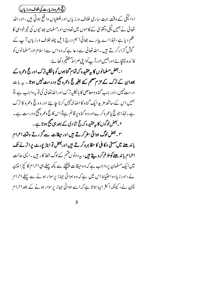(ح<del>ح دعمره وزیارت کی خلاف ورزیاں )</del>

ادائیگی کے وقت بہت ساری خلاف ورزیاں اورغلطیاں واقع ہوتی ہیں ،اوراللہ تعالیٰ نے ہمیں نیکی وتقویٰ کے کا موں میں تعاون اورمسلمان بھائیوں کی خیرخواہی کا حکم دیا ہے ،لہٰذااے پیارے بھائی! ہم درج ذیل چند خلاف ورزیاں آپ کے گوش گز ارکر تے ہیں ۔اللہ تعالیٰ سے دعا ہے کہ وہ اس سے اسلام اورمسلمانوں کو فا ئدہ پہنچائے اور ہمیں اورآ پ کوا بنی صراط متقیم دکھائے :

ا یعض مسلمانوں کا ہے عقید ہ کہ تمام گناہوں کو بالکلیہ ترک اور حج وعمرہ کے بعدان کے ترک کے عزم مقم کئے بغیر حج وعمرہ صحیح ودرست نہیں ہوتا ۔ یہ بات درست نہیں ،اور جب گناہ ومعاصی کا بالکلیہترک اوراللہ تعالٰی کی تو یہ واجب ہے ،تو ہمیں اس کے ساتھ مزید ایک گناہ کا اضا فہنہیں کرنا جا ہئے اور وہ حج وعمرہ کا ترک ہے۔لہٰذا جو حج یاعمرہ کرےاوروہ گناہ پر قائم ہےتواس کا حج وعمرہ صحیح ودرست ہے۔ ۲۔بعض لوگوں کا بیوعقید ہ کہ حج شادی کے بعد ہی صحیح ہوتا ہے ۔

۳۔بعض لوگ ہوائی سفر کرتے ہیں اور میقات سے گز رتے وقت احرام باند ھنے میں سستی وکا ہلی کا مظاہرہ کرتے ہیں اوربعض تو ایئر پورٹ پر اتر نے تک احرام باند ھنے کومؤ خرکر دیتے ہیں ، بیرد ونو ں قسم کےلوگ خطا کار ہیں۔الیں عالت میں ایک مسلمان پر واجب ہے کہ وہ میقات پہنچنے سے کچھ پہلے ہی احرام کا کپڑ ا پہن لے،اور زیادہ اختیاط اس میں ہے کہ وہ ہوائی جہاز پرسوار ہونے سے پہلے احرام پہن لے، کیونکہ اکثر ایبا ہوتا ہے کہ اسے ہوائی جہاز پرسوار ہونے کے بعد احرام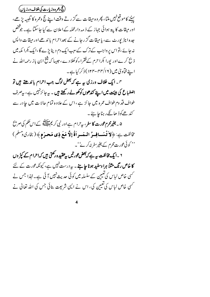(حج <sub>وعمر</sub> ه وزیارت کی خلاف ورزیاں)

سننے کا موقع نہیں ملتا، پھروہ میقات سےگز رتے وقت اپنے حج وعمرہ کا تلبیہ پڑھے، اور میقات کا پتہ ہوائی جہاز کے ذیبہ دارعملہ کےاعلان سے کیا جاسکتا ہے۔ جوْ خص جدہ اپٹر پورٹ سے، یا میقات گز رجانے کے بعد احرام با ندھےاور میقات واپس نہ جائے ،تواس پر واجب کے ترک کےسب ایک دم دینا پڑے گا ،ایک بکرا مکہ میں ذ نح کرے اور پورا کمرا حرم کے فقراءکوکھلا دے ،جیسا کہ شخ ابن باز رحمہ اللہ نے اپنے فیآویٰ میں (۱۲/سه-۱۲۴) ذکر کیا ہے۔

<sup>س</sup> ۔ ایک خلاف ورزی سے ہے کہ بعض لوگ جب احرام باند ھتے ہیں تو اضطباع کی ہیئت میں اپنے کندھوں کوکھولے رکھتے ہیں ۔ یہ جائزنہیں ہے، یہ صرف طواف قد وم طواف عمرہ میں جائز ہے ،اس کے علاوہ تمام حالا ت میں جا در سے کند <u>ھے</u>کوڈ ھانگےر ہناجا ہئے۔

۵ ۔ بغیرمحرم عو**رت کا** سفر ، بی<sup>ر</sup> ام ہے اور نبی کریم ایک کے اس حکم کی صریح كَالِفت بِ: ﴿ لاَ تُسَافِسُ السَراَةُ إِلَّا مَعَ ذِي مَحرَمٍ ﴾ ( بخارى وسلم ) '' کوئی <sub>گ</sub>ورت محرم کے بغیرسفرنہ کرنے' ۔

۲ ۔ایک مخالفت ہہ ہے کہ بعض عورتیں پہ عقید ہ رکھتی ہیں کہ احرام کے کپڑ وں کا خاص رنگ مثلاً ہرا وسفید ہونا جا ہئے ۔ یہ درست نہیں ہے، کیونکہ عورت کے لئے کسی خاص لباس کی تعیین کے سلسلہ میں کوئی حدیث نہیں آ ئی ہے۔لہٰذا جس نے کسی خاص لباس کی تعیین کی ، اس نے ایپی شریعت بنائی جس کی اللہ تعالیٰ نے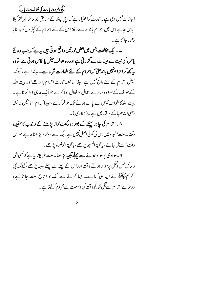(حج وعمر ه وزیارت کی خلاف ورزپاں)

اجا ز ت نہیں دی ہے۔عورت کواختیار ہے کہ اپنی پسند کے مطابق جو سا تر غیر پھڑ کیلا لباس حا ہےاس میں احرام با ندھ لے، نیز اس کے لئے احرام کے کپڑ وں کو بدلنا پا دھوناجائز ہے۔

ے ۔ایک مخالفت جس میں بعض عورتیں واقع ہوتی ہیں ہہ ہے کہ جب وہ حج یاعمرہ کی نیت سے میقات سےگز رتی ہےاور وہ بحالت حیض یا نفاس ہوتی ہے،تو وہ پیمجھ کراحرام نہیں باندھتی کہ احرام کے لئے طہارت شرط ہے۔ بیہ غلط ہے، کیونکہ حیض احرام کے لئے مانع نہیں ہے ،لہٰذا حا ئصہ عورت احرام با ند ھےاور بیت اللہ کے طواف کے سوا وہ سارے اعمال وافعال ادا کرے جوایک حاجی ادا کرتا ہے۔ بیت اللہ کا طواف <sup>حیض</sup> سے پاک ہونے تک مؤخرکرے،حبیبا کہ ام المؤمنین عائشہ رضی اللہ عنہا کے واقعہ میں ہے۔(بخاری)۔

۸۔احرام کی جادر پہننے کے بعد دورکعت نمازیڑھنے کے وجوب کاعقیدہ رکھنا۔سنت مطہر ہ میں اس کی کوئی اصل نہیں ہے ، بلکہا سے و ہ نما زیڑ ھنا جا ہئے جواس وقت اسے ل جائے ، پاتحیۃ المسجد پڑھے ، پاتحیۃ الوضوء پڑھے۔

۹۔سواری پرسوار ہونے سے پہلے تلبیہ پڑ ھنا۔سنت طریقہ ریہ ہے کہ کسی بھی وسائل حمل فقل برسوار ہوتے وقت اوراس کے چلنے سے پہلے تلبیہ پڑھے ، کیونکہ نبی کر پم مالاتھ نے ایبا ہی کیا ہے۔ ایبا کرنے سے ایک تو انتاع سنت جا تا ہے ، د وسرے احرام سےقبل خو دکو وقت کی وسعت سےمحروم کر لیتا ہے۔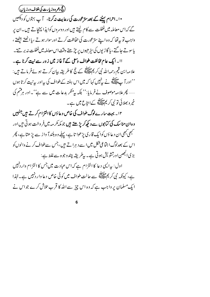(حج وعمر ه وزیارت کی خلاف ورزپاں) •ا۔احرام پہننے کے بعد سترعورت کی رعایت نہ کرنا، آ پ بہتوں کو دیکھیں گے کہ اس معاملہ میںغفلت سے کام لیتے ہیں اور دوسروں کوایذ اپہنچاتے ہیں۔ان پر واجب تو به تھا کہ وہ اپنے سترعورت کی حفاظت کرتے اور سوار ہوتے ،پا اٹھتے بیٹھتے ، یاسوتے جا گتے ،پا گا ڑیوں کی سٹرھیوں پر چڑھتے وقت اس معاملہ میںغفلت نہ بر تتے۔ اا۔ایک عام مخالفت طواف وسمی کے آغاز میں زور سے نبیت کرنا ہے۔ علامہ ابن قیم رحمہ اللہ نبی کر پم ایللہ کے قج کا طریقہ بیان کرتے ہوئے فر ماتے ہیں : ''اور آ پ اللہ ؓ نے بی<sup>ن</sup> پیس کہا کہ میں اس ہفتہ کے طواف کی بیراور بی<sub>ن</sub>نیت کرتا ہوں ...... پھر علامہ موصوف نے فر مایا:'' بلکہ س<sup>من</sup>کر بدعات میں سے ہے''۔اور ہرفتم کی خپر و بھلائی تو نبی کر پم سالاتی کے ابتاع میں ہے۔

۱۲۔ بہت سارےلوگ طواف کی خاص دعاؤں کا التزام کرتے ہیں جنہیں وہ ان مناسک کی کیابوں سے دیکھ کریڑھتے ہیں جو مکہ کر مہ میں فر وخت ہوتی ہیں اور مجھی کبھی ان د عا وَں کوایک قاری پڑھوا تا ہے ، پہلے وہ بلند آ واز سے پڑ ھتا ہے ، پُ*ھر* اس کے بعدلوگ اجتماعی شکل میں اسے د ہراتے ہیں،جس سےطواف کرنے والوں کو بڑی الجھن اورتشویش ہوتی ہے۔پیطر یقہ چندوجوہ سےغلط ہے : اول: پیرایسی دعا کا التزام ہے کہ اس عبادت میں جس کا التزام وار دنہیں ہے، کیونکہ نبی کر پم علاقہ سے حالت طواف میں کوئی خاص دعا وار دنہیں ہے۔لہٰذا ایک مسلمان پر واجب ہے کہ وہ اس چیز سے اللہ کا قرب تلاش کرے جو اس نے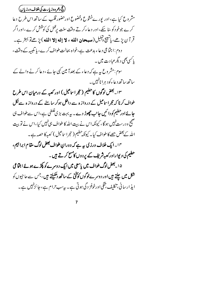(حج وعمر ه وزیارت کی خلاف ورزپاں) مشروع کیا ہے، اور پور بےخثوع وخضوع اورحضور قلب کے ساتھ اس طرح دعا کرے جوخودکو ساسکے،اور دعاءکرتے وقت سنت برعمل کی کوشش کرے ،اوراگر قر آن يڑھے، پاتيبج دہليل(مستحان الله ، لا إله إلا الله) پڑھ تو بہتر ہے۔ د وم : اجتّاعی د عاء بدعت ہے،خواہ بحالت طواف کرے، ہا تلبیہ کے وقت ، پاکسی بھی دیگرعبا د ت میں ۔ سوم:مشر وع ہیرہے کہ دعاء کے بعد آ مین کہی جائے ، دعا کرنے والے کے ساتھ ساتھ د عاءکو د ہرا نائبیں ۔ ۱۳۔بعض لوگوں کا حطیم (حجر اساعیل ) اور کعبہ کے درمیان اس طرح طواف کرنا کہ حجر اساعیل کے در واز ہ سے داخل ہوکر سامنے کے در واز ہ سے نکل جائے اور *ح*طیم کو دا ئیں جانب چھوڑ دے ۔ یہ بہت بڑ ی<sup>غلط</sup>ی ہے،اس سے طواف ہی صحیح و درست *نہیں ہو*گا ، کیونکہ اس نے بیت اللہ کا طواف ہی *نہیں* کیا ،اس نے تو بیت الله کےبعض حصے کا طواف کیا۔ کیونکہ حطیم (حجرا ساعیل ) کعبہ کا حصہ ہے ۔ ۱۴۔ایک خلاف ورزی پہ ہے کہ دورانِ طواف بعض لوگ مقام ابرا ہیم، حطیم کی دیواراورکعہ شریف کے بردوں کامسح کرتے ہیں ۔ ۱۵۔بعض لوگ طواف میں پاسعی میں ایک دوسرے کو پکڑے ہوئے اجن<sub>ا</sub>عی شکل **میں چلتے ہیں اور دوسرےلوگوں کو تخت کے ساتھ دھکیلتے ہیں** ،جس سے حاجیوں کو ایذ ارسانی، تکلیف، تنگی اورخوفز دگی ہوتی ہے۔پیرسب حرام ہے، جائزنہیں ہے۔

 $\overline{7}$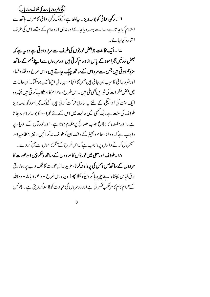(حج <sub>وعمر</sub> ه وزیارت کی خلاف ورزیاں) ۱۶۔ رکن پمانی کو بوسہ دیتا۔ بہ غلط ہے، کیونکہ رکن پمانی کا صرف ہاتھ سے اسلام کیا جا تا ہے، نہ اسے بوسہ دیا جائے اور نہ ہی از دحام کے وقت اس کی طرف اشارہ کیاجائے۔

۱۷۔ایک مخالفت جوبعضعورتوں کی طرف سے سرز د ہوتی ہے وہ ہ<sub>ی</sub>ے کہ بعض عورتیں حجراسود کے پاس از دحام کرتی ہیں اورمر دوں سے اپنے جسم کے ساتھ مزدتم ہوتی ہیں جس سے مرداس کے ساتھ چپک جاتے ہیں ،اس طرح وہ فتنہ دفساد اورشر و برائی کا سبب بن جاتی ہیں جس کاانجام بہر حال احمِ انہیں ہوسکتا۔ان حالا ت میں بعض منکر ات کی خبر یں بھی ملی میں ۔اس طرح و ہ حرا م کا ار نکا ب کر تی میں جبکہ و ہ ایک سنت کی ادائیگی کے لئے پہ ساری حرکت کرتی ہیں، کیونکہ حجراسود کو بوسہ دینا طواف کی سنت ہے، بلکہ بھی ایسی حالت میں اس کے لئے حجرا سود کا بوسہ حرام ہوجا تا ہے۔ اور مفسدہ کا دفاع جلب مصالح پر مقدم ہوتا ہے ، اورعورتوں کے اولیاء پر واجب ہے کہ وہ از دحام وبھیڑ کے وقت ان کوطواف نہ کرا ئیں ، نیز انتظامیہ اور کنٹر ول کرنے والوں پر واجب ہے کہ اس طرح کے منکر کا موں سے منع کر دے۔ ۱۸۔ طواف اورسعی میں عورتوں کا مر دوں کے ساتھ دھکم پیل اورعورت کا مردوں کےساتھ کمیں ومیں کی پرواہ نیکرنا،مزید براںعورت کا ننگ و بے پر د ہ زرق برق لباس پېننا،اپنے چہرہ پاگر دن کوکھلا حچوڑ دینا،اس طرح – والعیاذ بالله – وہ الله کے حرام کا م کا مرتکب کھہر تی ہےاور دوسروں کی عبادت کو فاسد کر دیتی ہے۔ پھر کس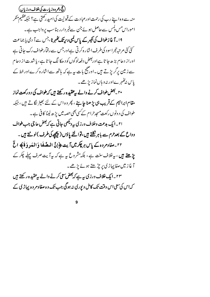(حج <sub>وعمر</sub> ه وزیارت کی خلاف ورزیاں) منہ سے وہ اپنے رب کی رحمت اورعبادت کے قبولیت کی امید رکھتی ہے؟ جبکہ عظیم منکر اموراس مس دلمس سے حاصل ہوئے جن سےخبر دارر ہناسب پر واجب ہے۔ <sup>1</sup>ا۔آ غازطواف کی کیبر کے پاس کمبی دیر تک *کھہر*نا،جس سے آ دی پا جماعت گئی گئی مرتبہ حجراسود کی طرف اشار ہ کرتی ہےاور جس سے رفیارطواف رک جاتی ہے اورا ز دحام بڑ ھ جا تا ہےاوربعض د فعہ لوگوں کو د ھکا لگ جا تا ہے، ہاشدت از دحام سے زمین برگریڑ تے ہیں۔اور پیج بات ہہ ہے کہ ہاتھ سےاشارہ کرےاور خط کے باس نە*ڭىن بے*اور نەد مان نمازى<sup>ر</sup> ھے۔

۲۰ \_ بعض طواف کرنے والے بہ عقید ہ رکھتے ہیں کہ طواف کی دورکعت نماز مقام ابراہیم کےقریب ہی پڑ ھنا چاہئے ، پھر وہ اس کے لئے بھیڑ لگاتے ہیں ، جبکہ طواف کی د ونوں رکعت مسجدحرا م کے کسی بھی حصہ میں بڑ ھ لینا کا فی ہے ۔

۲۱۔ایک بدعت وخلاف ورزی پی<sup>دیکھ</sup>ی جاتی ہے کہ بعض حاجی جب طواف وداع کے بعدحرم سے باہرنگتے ہیں،توالٹے یا دَں (پیچھے کی طرف)لوٹتے ہیں۔ ٢٢۔مفادمروہ کے پاس ہر چکرمیں آیت ﴿إِنَّ الْمِصَّفَا وَالْمَدِوَةَ﴾ الْحُ پڑھتے ہیں ، بہ خلاف سنت ہے ، بلکہ مشروع ہہ ہے کہ بہ آیت صرف پہلے چکر کے آ غاز میں صفا پہاڑ کی پر چڑھتے ہوئے پڑھے۔ ۲۳۔ایک خلاف ورزی بیرہے کہ بعض سعی کرنے والے پیعقید ہ رکھتے ہیں

کہ اس کی سعی اس وقت تک کامل و پوری نہ ہوگی جب تک وہ صفا ومروہ پہاڑی کے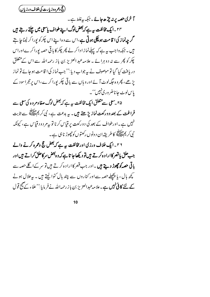(فحج دعمره وزيارت كي خلاف ورزياں)

آ خری حصہ پر نہ چڑھ جائے ۔جبکہ بیہ غلط ہے۔ ۲۴ ۔ایک مخالفت ہ<sub>ی</sub>ے کہ<sup>بعض لو</sup>گ اپنے طواف پاسمی میں چلتے رہتے ہیں گر چەنماز کی**ا قامت ہوچکی ہوتی ہے**،اس سے وہ اپنے اس چکرکو پورا کر لینا جا ہتے ہیں ۔جبکہ واجب یہ ہے کہ پہلےنما زادا کر لے پھر چکر کا ہاقی حصہ یورا کرےاوراس چکر کو پھر سے نہ دو ہرائے ۔علامہ عبد العزیز بن باز رحمہ اللہ سے اس کے متعلق دریافت کیا گیا تو موصوف نے پہ جواب دیا:'' جب نماز کی ا قامت ہوجائے تو نماز پڑھے، پھروہ جگہ لوٹ آئے اور وہاں سے باقی چکر پورا کرے،اس پرحجراسود کے پاس لوٹ جا ناضر وری نہیں'' ۔

۲۵ <sup>س</sup>سعی سے متعلق ایک مخالفت ہیر ہے کہ بعض لوگ صفا ومروہ کی سعی سے فراغت کے بعد دورکع**ت نمازیڑھتے ہیں۔** یہ بدعت ہے، نبی کر یہ اللہ سے ثابت نہیں ہے۔اورطواف کے بعد کی دورکعت پر قیاس کرنا تو بہ مردود قیاس ہے، کیونکہ نبى كريم عليلله كاطر يقدان د ونو <sub>ك</sub> ركعتو <sub>ك</sub> كوچھوڑ نا ہى ہے ۔

۲۶۔ایک خلاف ورزی اورمخالفت ہے ہے کہ بعض حج وعمرہ کرنے والے جب حلق یا قصرکاارا د ہ کر تے ہیں تو دیکھا جا تا ہے کہ وہ بعض سر کاحلق کراتے ہیں اور ہ**اتی حصہ کو چھوڑ دیتے ہیں۔اور** جب قصر کااراد ہ کرتے ہیں تو سر کےا گلے حصہ سے کچھ ہال ، ہا پچھلے حصہ سے اور کناروں سے چند ہال کٹوالیتے ہیں ۔ بہ حلال ہونے کے لئے کا فی نہیں ہے۔علامہ عبدالعزیز بن باز رحمہاللہ نے فر مایا:''علماء کے صحیح قول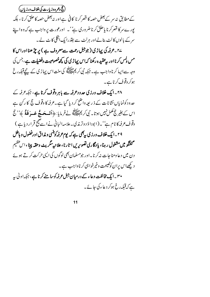(حج <sub>وعمر</sub> ه وزیارت کی خلاف ورزیاں) کے مطابق نہ سر کے بعض حصہ کا قصر کرنا کا فی ہے اور نہ بعض حصہ کا حلق کرنا ، بلکہ یورےسرکا قصر کرنا پاحلق کرنا ضروری ہے''۔ اورعورت پر داجب ہے کہ وہ اپنے سر کے بالوں کالٹ بنالےاور ہرلٹ سے بفتر رایک انگلی کاٹ لے ۔ ےr۔ عرفہ کی یہاڑی (جوجبل رحمت سےمعروف ہے ) پر چڑ ھنااوراس کا مس دلمس کرنااور بہعقید ہ رکھنا کہ اس پہاڑی کی کچھ خصوصیت وفضیلت ہے،جس کی وجہ سے ایپا کرنا واجب ہے۔جبکہ نبی کریم ایللہ کی سنت اس پہاڑی کے پیچےقبلہ رخ

ہوکر دقوف کرنا ہے۔

۲۸۔ایک خلاف ورزی حدودعرفہ سے باہر وقوف کرنا ہے ، جبکہ عرفہ کے حدود کونمایاں نشانات کے ذ ریعہ داضح کر دیا گیا ہے۔عرفہ کا دقوف حج کا رکن ہے اس کے بغیر حج مکمل نہیں ہوتا۔ نبی کریم ایلنگھ نے فر مایا: ﴿**أَلَــحَــجُ عَــوَ فَةٌ** ﴾''جُ دقوف عرفہ کا نام ہے''۔(ابودا دَ دوتر مذی ۔علامہ البانی نے اسے صحیح قرار دیا ہے ) ۲۹ \_ایک خلاف درزی به <sub>پ</sub>ھی ہے کہ پوم *عر*فہ کوہنسی دی**ز**اق اورفضول و باطل گفتگو میں مشغول ر ہنا، یا د گاری تصویریں ا تارنا، علا نیہ سگریٹ وحقہ پپنا ، اس عظیم دن میں دعا ومناجات نہ کرنا۔اور جومسلمان بھی لوگوں کی ایسی حرکت کرتے ہوئے د کیھےاس پران کونصیحت وخیرخواہی کرناواجب ہے۔ ۳۰ ۔ایک مخالفت دعاء کے درمیان جبل *عرفہ کوس*ا منے کرنا ہے ، جبکہ اولٰی <sub>س</sub>ہ ہے کہ قبلہ رخ ہوکر دعاء کی جائے۔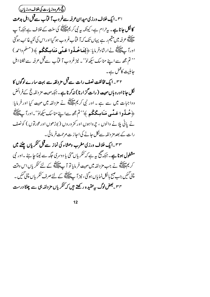(حج <sub>وعمر</sub> ه وزیارت کی خلاف ورزیاں) ا<sup>س</sup>ا بہ ایک خلاف ورزی میدان *ع*رفہ سےغروب آفتاب سےقبل اہل بدعت کانکل جانا ہے۔ بی<sup>ر</sup> ام ہے، کیونکہ بیہ نبی کر یم ایک پیچ کی سنت کے خلاف ہے جبکہ آ ب ۔<br>علیمتکے عرفہ میں مقیم رہے یہاں تک کہ آفتاب غروب ہو گیااوراس کی کمکیہ غائب ہوگئی اوراً پﷺ نےارشادفر مایا: ﴿**لِتَسَاخُهُ وا عَنِّي مَنَامِيكَكُم** ﴾ (مسلم واحمه ) <sup>د دی</sup>م مجھ سے اپنے مناسک سکھ<sup>الو</sup>' ۔ نیز غروب آ فماّب سےقبل عرفہ سے نکلنا اہل حا ہلیت کاعمل ہے۔

۳۲۔ایک مخالفت نصف رات سےقبل مز دلفہ سے بہت سارے لوگوں کا نکل جانااور وہاں میپت ( رات گزارنا ) نہ کرنا ہے ۔ جبکہ مہیت مز دلفہ حج کے فرائض وواجبات میں سے ہے ۔ اور نبی کریمﷺ نے مزدلفہ میں مہیت کیا اور فرمایا: ﴿ خُبِلُوا عَبِّي مَنَامِيكُكُم ﴾ ''تم جُھ سےاپنے مناسک سکھان'۔اورآ پاَ ﷺ نے پانی پلانے والوں ، چرواہوں اور کمز وروں ( بوڑھوں اورعورتوں ) کو نصف رات کے بعد مز دلفہ سےنکل جانے کی اجاز ت مرحمت فر مائی ۔

۳۳۔ایک خلاف ورزی مغرب وعشاء کی نماز سےقبل کنگریاں چننے میں م**شغول ہونا ہے۔** جبکہ صحیح پیہ ہے کہ *کنگر* پاں منی پا دوسری جگہ سے لینا حا ہئے ۔اور نبی کر پم حقایقہ نے جب مز دلفہ میں میپت فر مایا تو آ پ ایک کھیلتے کے لئے کنگر پاں اس وقت چنی گئیں جب صبح بالکل نمایاں ہوگئی ، نیز آ پﷺ کے لئے صرف *کنگر* پاں چنی گئیں ۔ ۳۴ ۔ بعض لوگ بی<sup>ر</sup> عقید ہ رکھتے ہیں کہ <sup>کن</sup>گر پاں مز دلفہ ہی سے چینا درست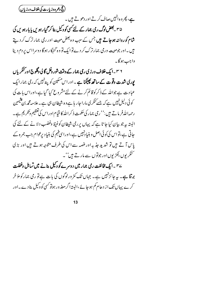(فحج دعمره وزيارت كي خلاف ورزياں)

ہے، پھر و ہ انہیں صاف کرتے اور دھوتے ہیں۔ ۳۵ ۔بعض لوگ ری جمار کے لئے *کسی کو دی*ل بنا کر گیار ہویں پا بار ہویں کی شام کوروانہ ہوجاتے ہیں جس کے سب وہ بعض میت اور رمی جمارترک کر دیتے مېں په اور جومبيت ورمي جمارترک کرد پےتو ايک تو وه گنهگار ہوگا د وسرااس پر دم دينا واجب ہوگا۔

۳۶ – ایک خلاف ورزی رمی جمار کے وقت شور وغل گا لی وگلوچ اور کنگریاں **پوری شدت وقوت کے ساتھ پھینکنا ہے ۔**اوراس مسکین کو پین<sup>نہیں</sup> کہ رمی جمارا یک عبادت ہے جواللہ کے ذکرکو قائم کرنے کے لئےمشر وع کیا گیا ہے،اوراس بات کی کوئی دلیل نہیں ہے کہ جسے کنگری مارا جار ہا ہے وہ شیطان ہی ہے ۔علا مہ مجمہ بن تیبمبین رحمہ اللّٰہ فر ماتے ہیں :'' رمی جمار کی حکمت ذکر اللّٰہ کا قیام اوراس کی تعظیم وَتکریم ہے ۔ البتہ بیرجو بیان کیا جا تا ہے کہ یہاں پر رمی شیطان کوغیظ وغضب دلانے کے لئے کی جا تی ہے،تو اس کی کوئی اصل و بنیا دنہیں ہے،اوراسی فہم کی بنیا دیرعوام جب جمرہ کے پاس آ تے ہیں تو شدید جذبہ اورغصہ سے اس کی طرف متوجہ ہوتے ہیں اور بڑی ۔<br>سنگریوں،لکڑیوںاور جوتوں سے مارتے ہیں''۔

ے۳ ۔ایک مخالفت رمی جمار میں دوسر ےکو وکیل بنانے میں تساہل وغفلت برتنا ہے۔ یہ جائزنہیں ہے۔ جہاں تک کمز ورلوگوں کی بات ہے تو رمی جمارکو مؤخر کرے یہاں تک از دحام کم ہوجائے ،البتہ اگر معذ ور ہوتو کسی کووکیل بنادے۔اور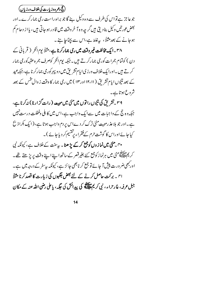(ح<del>ج دعمره وزیارت کی خلاف ورزیاں</del>) جو عاجز ہے تو اس کی طرف سے وہ وکیل بنے گا جو براہ راست رمی جمارکرے۔اور بعض <sub>گ</sub>ورتیں وکیل بنادیتی ہیں گرچہ و ہ7 خروقت میں قادر ہوجاتی ہیں، یا از دحام کم ہوجانے کے بعد مثلاً ، پہ غلط ہے،اس سے بچناجا ہٹے۔ ۳۸ ۔ایک مخالفت غیروقت میں ری جمارکرنا ہے،مثلاً یوم النحر ( قربانی کے دن ) کوئمام جمرات کورمی جمارکر تے ہیں ۔ جبکہ پوم انٹحر کوصرف جمرہ عقبہ کورمی جمار کرتے ہیں۔اورایک خلاف ورزی ایام تشریق میں دو پہرکوری جمارکرناہے،جبکہ عید کے بعد تنیوں ایام تشریق ( ۱۲،۱۱ اور ۱۳) میں ری جمار کا وقت ز وال تٹس کے بعد شروع ہوتا ہے۔

۳۹ \_ تشریق کی نتیوں را توں میں منی میں مبیت ( رات گزارنا ) نہ کرنا ہے، جبکہ وہ حج کے واجبات میں سےایک واجب ہے،اس میں کا ہلی وغفلت درست نہیں ہے۔اور جو بلا عذرمییت منی ترک کر دےاس پر دم واجب ہوتا ہے، (ایک بکراذ بح کیاجائے اوراس کا گوشت حرم کےفقراء پرتفسیم کر دیاجائے )۔ ۴۰ منی میں نماز وں کوج<del>م</del>ع کرکے پڑ ھنا۔ بی<sup>س</sup>نت کے خلاف ہے، کیونکہ نبی

کر پم حیالاتی منی میں ہرنما زکوجمع کئے بغیر قصر کے ساتھ اپنے اپنے وقت پر پڑھتے تھے۔ اور بھی ضرورت پیش آ جائے تو جمع کر نابھی جائز ہے، کیونکہ بی<sup>سفر</sup> کے درجہ میں ہے۔ <sub>ا</sub>ی یہ برکت حاصل کرنے کے لئے بعض جگہوں کی زیارت کا قصد کرنا مثلاً جبل عرفہ، غار حراء، نمی کریمﷺ کی پیدائش کی جگہ ، یاعلی رضی اللہ عنہ کے مکان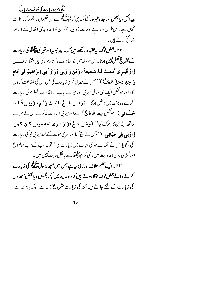(حج وعمر ه وزیارت کی خلاف ورزپاں) پ**يدائش، پابعض مساجد وغير ه** - كيونكه نبي كريم الاتار هي سے ان جگہوں كا قصد كرنا ثابت نہیں ہے،اس طرح وہ اپنے اوقات ( و پیپہ ) کوان نو ایجاد بدعتی افعال کے ذیر پعہ ضا ئع کر تے ہیں۔

۴۲ \_ بعض لوگ پیون در گھتے ہیں کہ مدینہ نبو یہ اورقبر نبی حالاتیہ کی زیارت کے بغیر حج ککمل نہیں ہوتا ۔اس سلسلہ میں جواحا دیث وآ ثارم وی ہیں مثلاً : (مَــــوْ، زَارَ قَبِيرِي كُنستُ لَيهُ شَـفِيعاً ، وَمَن زَارَنِي وَزَارَ اَبِي إبرَاهِيمَ فِي عَامِ وَاحِدٍ دَخَلَ المَجَنَّةَ)''جس نے میرِ کی قبر کی زیارت کی میں اس کی شفاعت کروں گا،اور جوشخص ایک ہی سال میری اور میرے باپ ابراہیم علیہ السلام کی زیارت كرے وہ جنت ميں داخل ہوگا''، (وَمَسن حَسةً المُهَيتَ وَلَسم يَبِزُدِنِي فَيقَيد جَ**ـفَـانِي** )'' جوْخص بيت الله كانج كرےاور مير كى زيارت نہ كرےاس نے ميرے ساتھ اجڈ پن کاسلوک کیا''،(وَمَن حَسَّجَ فَزَادَ قَبوی بَعدَ مَوتِبِي كَانَ كَمَنِ ذَادَنِ**ی فِی حَیَاتِی** )''<sup>جس</sup> نے حج کیااور میری موت کے بعد میری قبر کی زیارت کی ،گویااس نے مجھ سے میر کی حیات میں زیارت کی''،تو بہ سب کے سب موضوع اور گھڑ کی ہوئی احادیث ہیں، نبی کر یم اپلینکھ سے بالکل ثابت نہیں ہیں۔ ۴۳ ۔ ایک عظیم خلاف ورزی <sub>ہی</sub>ے جس میں مسجد رسول عل<del>یک ک</del>ے کی زیارت کرنے والےبعض لوگ مبتلا ہوتے ہیں کہ وہ مدینہ میں کچھ جگہوں ، یا بعض مسجد وں کی زیارت کے لئے جاتے ہیں جن کی زیارت مشروع نہیں ہے، ہلکہ بدعت ہے،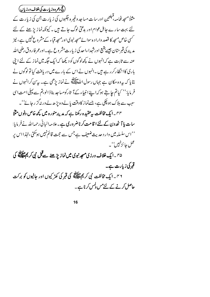(حج <sub>وعمر</sub> ه وزیارت کی خلاف ورزیاں)

مثلاً مسجد غمامہ،قبلتین اور سات مساجد وغیر ہ جگہوں کی زیارت جن کی زیارت کے لئے بہت سارے حاہل عوام اور بدعتی لوگ جاتے ہیں ۔ کیونکہ نما زیڑھنے کے لئے کسی خاص مسحد کا قصد واراد ہ سوائے مسجد نبوی اورمسجد قباء کے مشر وع نہیں ہے ، نیز مدینه کی قبرستان جیسے بقیع اورشہداءاحد کی زیارت مشر وع ہے۔اورعمر فاروق رضی اللہ عنہ سے ثابت ہے کہ انہوں نے کچھ لوگوں کو دیکھا کہ ایک جگہ میں نماز کے لئے اپنی باری کاانتظارکرر ہے ہیں ۔انہوں نے اس کے بارے میں دریافت کیا تو لوگوں نے بتایا کہ بیروہ مکان ہے جہاں رسول اللّٰہﷺ نے نماز بڑھی ہے۔ بیرِّن کرانہوں نے فر مایا:'' کیاتم جایتے ہوکہا ہے انبیاء کےآ ثارکومساجد بناڈ الوبم سے پہلی امت اسی سبب سے ہلاک ہوچکی ہے، جسےنماز کاوقت یا لےوہ پڑ ھے لےور نیگز رجائے''۔ ۴۴ - ایک مخالفت سرعقید ہ رکھنا ہے کہ مدینہ منور ہ میں کچھ خاص دنوں مثلاً سات پا آٹھ دن کے لئے ا قامت کرناضر وری ہے۔علامہ البانی رحمہ اللہ نے فر مایا: ''اس سلسلہ میں وار د حدیث ضعیف ہے جس سے حجت قائم نہیں ہوسکتی،لہٰذااس پر عمل جائزنہیں''۔ ۴۵ ۔ایک خلاف ورزی مسجد نبوی میں نمازیڑ ھنے سے قبل نبی کر یم عالقہ کی قبر کی زیارت ہے۔

۴۶ - ایک مخالفت نمی کریمﷺ کی قبر کی کھڑ کیوں اور حالیوں کو برکت حاصل کرنے کے لئے مس دلمس کرنا ہے۔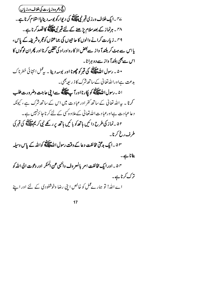(فحج دعمره وزيارت كى خلاف درزياں) ے<sub>″ ~</sub>ایک خلاف ورزی قبر نبیﷺ کی دیوارکو بوسہ دینایااسٹلام کرنا ہے ۔ ۴۸ ۔ ہرنماز کے بعد سلام پڑھنے کے لئے قبر نبی ایک کا قصد کرنا ہے ۔ ۴۹۔زیارت کرانے والوں کا حاجیوں کی جماعتوں کوحجرہ شریفہ کے پاس، یا اس سے ہٹ کر بلند آ واز سے بعض اذ کا رواوراد کی تلقین کرنا اور پھران لوگوں کا اس سے بھی بلندا واز سے دو ہرانا۔ ۵۰ په رسول الله علاقله کې قبر کو چھونا اور پوسه د بيا په په عمل انټائي خطرناک بدعت ہےاوراللہ تعالیٰ کےساتھ شرک کا ذیر بعیصی ۔ ۵۱ به رسول الله الله عليه الله كوريا را اور آب الله سيما الله عن عاجت وضرورت طلب کرنا ۔ یہ اللہ تعالیٰ کے ساتھ کفر اور عبادت میں اس کے ساتھ شرک ہے ، کیونکہ د عاعبا د ت ہےاورعبا د ت اللہ تعالیٰ کےعلاوہ کسی کے لئے کرنا جائزنہیں ہے۔ ۵۲۔نماز کی طرح دا ئیں ہاتھ کو بائنیں ہاتھ پر رکھے نبی کریم ایک پھر کی قبر کی طرف رخ کرنا ۔ ۵۳ ـ ایک بد مخی مخالفت د عا کے وقت رسول اللہﷺ کواللہ کے پاس وسیلہ بنانا ہے۔ ۵۴ ـ اورایک مخالفت امر بالمعروف والنمی عن الممکر اور دعوت الی الله کو ترک کرناہے۔ اے اللہ! تو ہمارےممل کو خالص اپنی رضا وخوشنودی کے لئے اور اپنے